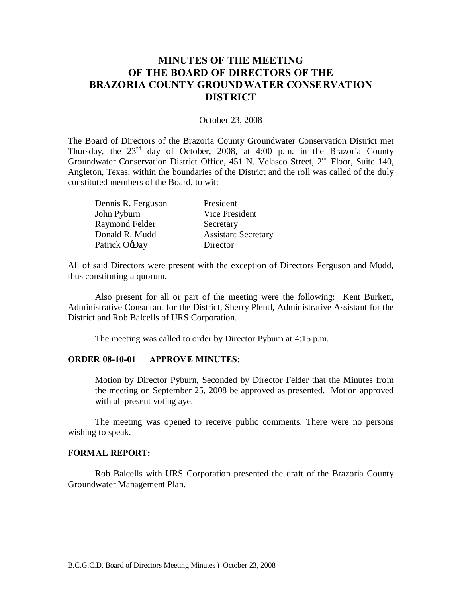# **MINUTES OF THE MEETING OF THE BOARD OF DIRECTORS OF THE BRAZORIA COUNTY GROUNDWATER CONSERVATION DISTRICT**

#### October 23, 2008

The Board of Directors of the Brazoria County Groundwater Conservation District met Thursday, the  $23<sup>rd</sup>$  day of October, 2008, at 4:00 p.m. in the Brazoria County Groundwater Conservation District Office, 451 N. Velasco Street, 2nd Floor, Suite 140, Angleton, Texas, within the boundaries of the District and the roll was called of the duly constituted members of the Board, to wit:

| Dennis R. Ferguson | President                  |
|--------------------|----------------------------|
| John Pyburn        | Vice President             |
| Raymond Felder     | Secretary                  |
| Donald R. Mudd     | <b>Assistant Secretary</b> |
| Patrick OgDay      | Director                   |

All of said Directors were present with the exception of Directors Ferguson and Mudd, thus constituting a quorum.

Also present for all or part of the meeting were the following: Kent Burkett, Administrative Consultant for the District, Sherry Plentl, Administrative Assistant for the District and Rob Balcells of URS Corporation.

The meeting was called to order by Director Pyburn at 4:15 p.m.

#### **ORDER 08-10-01 APPROVE MINUTES:**

Motion by Director Pyburn, Seconded by Director Felder that the Minutes from the meeting on September 25, 2008 be approved as presented. Motion approved with all present voting aye.

The meeting was opened to receive public comments. There were no persons wishing to speak.

### **FORMAL REPORT:**

Rob Balcells with URS Corporation presented the draft of the Brazoria County Groundwater Management Plan.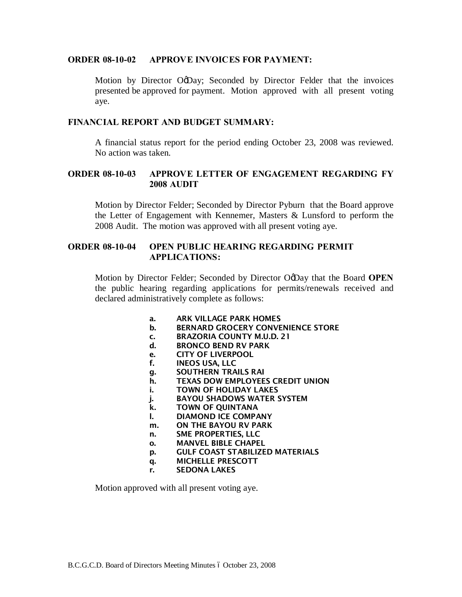### **ORDER 08-10-02 APPROVE INVOICES FOR PAYMENT:**

Motion by Director OoDay; Seconded by Director Felder that the invoices presented be approved for payment. Motion approved with all present voting aye.

## **FINANCIAL REPORT AND BUDGET SUMMARY:**

A financial status report for the period ending October 23, 2008 was reviewed. No action was taken.

# **ORDER 08-10-03 APPROVE LETTER OF ENGAGEMENT REGARDING FY 2008 AUDIT**

Motion by Director Felder; Seconded by Director Pyburn that the Board approve the Letter of Engagement with Kennemer, Masters & Lunsford to perform the 2008 Audit. The motion was approved with all present voting aye.

# **ORDER 08-10-04 OPEN PUBLIC HEARING REGARDING PERMIT APPLICATIONS:**

Motion by Director Felder; Seconded by Director O'Day that the Board **OPEN** the public hearing regarding applications for permits/renewals received and declared administratively complete as follows:

- a. ARK VILLAGE PARK HOMES
- b. BERNARD GROCERY CONVENIENCE STORE
- c. BRAZORIA COUNTY M.U.D. 21
- d. BRONCO BEND RV PARK
- e. CITY OF LIVERPOOL
- f. INEOS USA, LLC
- g. SOUTHERN TRAILS RAI
- h. TEXAS DOW EMPLOYEES CREDIT UNION
- i. TOWN OF HOLIDAY LAKES
- j. BAYOU SHADOWS WATER SYSTEM
- k. TOWN OF QUINTANA
- l. DIAMOND ICE COMPANY
- m. ON THE BAYOU RV PARK
- n. SME PROPERTIES, LLC
- o. MANVEL BIBLE CHAPEL
- p. GULF COAST STABILIZED MATERIALS
- q. MICHELLE PRESCOTT
- r. SEDONA LAKES

Motion approved with all present voting aye.